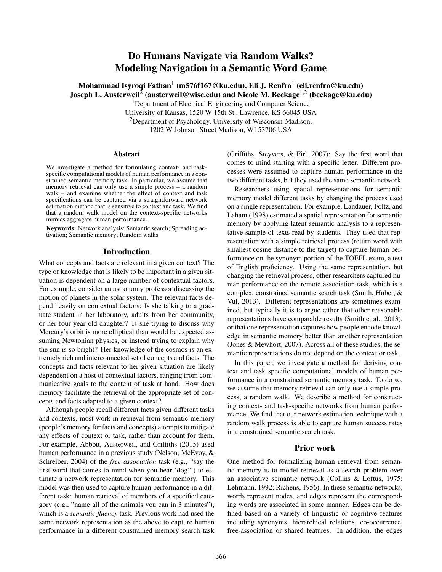# Do Humans Navigate via Random Walks? Modeling Navigation in a Semantic Word Game

Mohammad Isyroqi Fathan $^1$  (m576f167@ku.edu), Eli J. Renfro $^1$  (eli.renfro@ku.edu) Joseph L. Austerweil $^2$  (austerweil@wisc.edu) and Nicole M. Beckage $^{1,2}$  (beckage@ku.edu)

<sup>1</sup>Department of Electrical Engineering and Computer Science

University of Kansas, 1520 W 15th St., Lawrence, KS 66045 USA <sup>2</sup>Department of Psychology, University of Wisconsin-Madison, 1202 W Johnson Street Madison, WI 53706 USA

#### Abstract

We investigate a method for formulating context- and taskspecific computational models of human performance in a constrained semantic memory task. In particular, we assume that memory retrieval can only use a simple process – a random walk – and examine whether the effect of context and task specifications can be captured via a straightforward network estimation method that is sensitive to context and task. We find that a random walk model on the context-specific networks mimics aggregate human performance.

Keywords: Network analysis; Semantic search; Spreading activation; Semantic memory; Random walks

## Introduction

What concepts and facts are relevant in a given context? The type of knowledge that is likely to be important in a given situation is dependent on a large number of contextual factors. For example, consider an astronomy professor discussing the motion of planets in the solar system. The relevant facts depend heavily on contextual factors: Is she talking to a graduate student in her laboratory, adults from her community, or her four year old daughter? Is she trying to discuss why Mercury's orbit is more elliptical than would be expected assuming Newtonian physics, or instead trying to explain why the sun is so bright? Her knowledge of the cosmos is an extremely rich and interconnected set of concepts and facts. The concepts and facts relevant to her given situation are likely dependent on a host of contextual factors, ranging from communicative goals to the content of task at hand. How does memory facilitate the retrieval of the appropriate set of concepts and facts adapted to a given context?

Although people recall different facts given different tasks and contexts, most work in retrieval from semantic memory (people's memory for facts and concepts) attempts to mitigate any effects of context or task, rather than account for them. For example, Abbott, Austerweil, and Griffiths (2015) used human performance in a previous study (Nelson, McEvoy, & Schreiber, 2004) of the *free association* task (e.g., "say the first word that comes to mind when you hear 'dog"') to estimate a network representation for semantic memory. This model was then used to capture human performance in a different task: human retrieval of members of a specified category (e.g., "name all of the animals you can in 3 minutes"), which is a *semantic fluency* task. Previous work had used the same network representation as the above to capture human performance in a different constrained memory search task (Griffiths, Steyvers, & Firl, 2007): Say the first word that comes to mind starting with a specific letter. Different processes were assumed to capture human performance in the two different tasks, but they used the same semantic network.

Researchers using spatial representations for semantic memory model different tasks by changing the process used on a single representation. For example, Landauer, Foltz, and Laham (1998) estimated a spatial representation for semantic memory by applying latent semantic analysis to a representative sample of texts read by students. They used that representation with a simple retrieval process (return word with smallest cosine distance to the target) to capture human performance on the synonym portion of the TOEFL exam, a test of English proficiency. Using the same representation, but changing the retrieval process, other researchers captured human performance on the remote association task, which is a complex, constrained semantic search task (Smith, Huber, & Vul, 2013). Different representations are sometimes examined, but typically it is to argue either that other reasonable representations have comparable results (Smith et al., 2013), or that one representation captures how people encode knowledge in semantic memory better than another representation (Jones & Mewhort, 2007). Across all of these studies, the semantic representations do not depend on the context or task.

In this paper, we investigate a method for deriving context and task specific computational models of human performance in a constrained semantic memory task. To do so, we assume that memory retrieval can only use a simple process, a random walk. We describe a method for constructing context- and task-specific networks from human performance. We find that our network estimation technique with a random walk process is able to capture human success rates in a constrained semantic search task.

# Prior work

One method for formalizing human retrieval from semantic memory is to model retrieval as a search problem over an associative semantic network (Collins & Loftus, 1975; Lehmann, 1992; Richens, 1956). In these semantic networks, words represent nodes, and edges represent the corresponding words are associated in some manner. Edges can be defined based on a variety of linguistic or cognitive features including synonyms, hierarchical relations, co-occurrence, free-association or shared features. In addition, the edges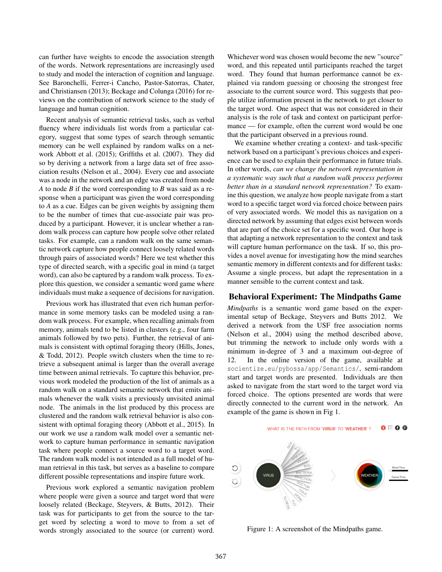can further have weights to encode the association strength of the words. Network representations are increasingly used to study and model the interaction of cognition and language. See Baronchelli, Ferrer-i Cancho, Pastor-Satorras, Chater, and Christiansen (2013); Beckage and Colunga (2016) for reviews on the contribution of network science to the study of language and human cognition.

Recent analysis of semantic retrieval tasks, such as verbal fluency where individuals list words from a particular category, suggest that some types of search through semantic memory can be well explained by random walks on a network Abbott et al. (2015); Griffiths et al. (2007). They did so by deriving a network from a large data set of free association results (Nelson et al., 2004). Every cue and associate was a node in the network and an edge was created from node *A* to node *B* if the word corresponding to *B* was said as a response when a participant was given the word corresponding to *A* as a cue. Edges can be given weights by assigning them to be the number of times that cue-associate pair was produced by a participant. However, it is unclear whether a random walk process can capture how people solve other related tasks. For example, can a random walk on the same semantic network capture how people connect loosely related words through pairs of associated words? Here we test whether this type of directed search, with a specific goal in mind (a target word), can also be captured by a random walk process. To explore this question, we consider a semantic word game where individuals must make a sequence of decisions for navigation.

Previous work has illustrated that even rich human performance in some memory tasks can be modeled using a random walk process. For example, when recalling animals from memory, animals tend to be listed in clusters (e.g., four farm animals followed by two pets). Further, the retrieval of animals is consistent with optimal foraging theory (Hills, Jones, & Todd, 2012). People switch clusters when the time to retrieve a subsequent animal is larger than the overall average time between animal retrievals. To capture this behavior, previous work modeled the production of the list of animals as a random walk on a standard semantic network that emits animals whenever the walk visits a previously unvisited animal node. The animals in the list produced by this process are clustered and the random walk retrieval behavior is also consistent with optimal foraging theory (Abbott et al., 2015). In our work we use a random walk model over a semantic network to capture human performance in semantic navigation task where people connect a source word to a target word. The random walk model is not intended as a full model of human retrieval in this task, but serves as a baseline to compare different possible representations and inspire future work.

Previous work explored a semantic navigation problem where people were given a source and target word that were loosely related (Beckage, Steyvers, & Butts, 2012). Their task was for participants to get from the source to the target word by selecting a word to move to from a set of words strongly associated to the source (or current) word. Whichever word was chosen would become the new "source" word, and this repeated until participants reached the target word. They found that human performance cannot be explained via random guessing or choosing the strongest free associate to the current source word. This suggests that people utilize information present in the network to get closer to the target word. One aspect that was not considered in their analysis is the role of task and context on participant performance — for example, often the current word would be one that the participant observed in a previous round.

We examine whether creating a context- and task-specific network based on a participant's previous choices and experience can be used to explain their performance in future trials. In other words, *can we change the network representation in a systematic way such that a random walk process performs better than in a standard network representation?* To examine this question, we analyze how people navigate from a start word to a specific target word via forced choice between pairs of very associated words. We model this as navigation on a directed network by assuming that edges exist between words that are part of the choice set for a specific word. Our hope is that adapting a network representation to the context and task will capture human performance on the task. If so, this provides a novel avenue for investigating how the mind searches semantic memory in different contexts and for different tasks: Assume a single process, but adapt the representation in a manner sensible to the current context and task.

## Behavioral Experiment: The Mindpaths Game

*Mindpaths* is a semantic word game based on the experimental setup of Beckage, Steyvers and Butts 2012. We derived a network from the USF free association norms (Nelson et al., 2004) using the method described above, but trimming the network to include only words with a minimum in-degree of 3 and a maximum out-degree of 12. In the online version of the game, available at socientize.eu/pybossa/app/Semantics/, semi-random start and target words are presented. Individuals are then asked to navigate from the start word to the target word via forced choice. The options presented are words that were directly connected to the current word in the network. An example of the game is shown in Fig 1.



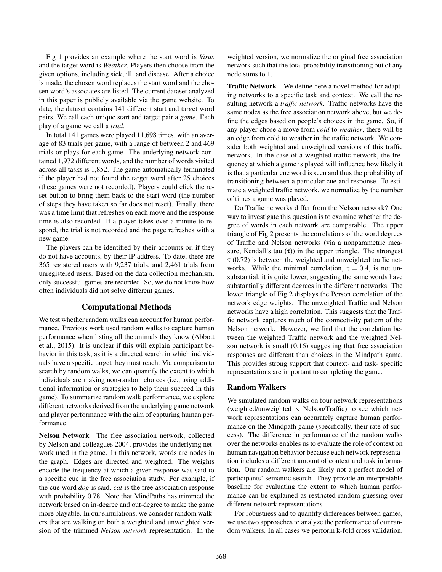Fig 1 provides an example where the start word is *Virus* and the target word is *Weather*. Players then choose from the given options, including sick, ill, and disease. After a choice is made, the chosen word replaces the start word and the chosen word's associates are listed. The current dataset analyzed in this paper is publicly available via the game website. To date, the dataset contains 141 different start and target word pairs. We call each unique start and target pair a *game*. Each play of a game we call a *trial*.

In total 141 games were played 11,698 times, with an average of 83 trials per game, with a range of between 2 and 469 trials or plays for each game. The underlying network contained 1,972 different words, and the number of words visited across all tasks is 1,852. The game automatically terminated if the player had not found the target word after 25 choices (these games were not recorded). Players could click the reset button to bring them back to the start word (the number of steps they have taken so far does not reset). Finally, there was a time limit that refreshes on each move and the response time is also recorded. If a player takes over a minute to respond, the trial is not recorded and the page refreshes with a new game.

The players can be identified by their accounts or, if they do not have accounts, by their IP address. To date, there are 365 registered users with 9,237 trials, and 2,461 trials from unregistered users. Based on the data collection mechanism, only successful games are recorded. So, we do not know how often individuals did not solve different games.

### Computational Methods

We test whether random walks can account for human performance. Previous work used random walks to capture human performance when listing all the animals they know (Abbott et al., 2015). It is unclear if this will explain participant behavior in this task, as it is a directed search in which individuals have a specific target they must reach. Via comparison to search by random walks, we can quantify the extent to which individuals are making non-random choices (i.e., using additional information or strategies to help them succeed in this game). To summarize random walk performance, we explore different networks derived from the underlying game network and player performance with the aim of capturing human performance.

Nelson Network The free association network, collected by Nelson and colleagues 2004, provides the underlying network used in the game. In this network, words are nodes in the graph. Edges are directed and weighted. The weights encode the frequency at which a given response was said to a specific cue in the free association study. For example, if the cue word *dog* is said, *cat* is the free association response with probability 0.78. Note that MindPaths has trimmed the network based on in-degree and out-degree to make the game more playable. In our simulations, we consider random walkers that are walking on both a weighted and unweighted version of the trimmed *Nelson network* representation. In the weighted version, we normalize the original free association network such that the total probability transitioning out of any node sums to 1.

Traffic Network We define here a novel method for adapting networks to a specific task and context. We call the resulting network a *traffic network*. Traffic networks have the same nodes as the free association network above, but we define the edges based on people's choices in the game. So, if any player chose a move from *cold* to *weather*, there will be an edge from cold to weather in the traffic network. We consider both weighted and unweighted versions of this traffic network. In the case of a weighted traffic network, the frequency at which a game is played will influence how likely it is that a particular cue word is seen and thus the probability of transitioning between a particular cue and response. To estimate a weighted traffic network, we normalize by the number of times a game was played.

Do Traffic networks differ from the Nelson network? One way to investigate this question is to examine whether the degree of words in each network are comparable. The upper triangle of Fig 2 presents the correlations of the word degrees of Traffic and Nelson networks (via a nonparametric measure, Kendall's tau  $(\tau)$  in the upper triangle. The strongest  $\tau$  (0.72) is between the weighted and unweighted traffic networks. While the minimal correlation,  $\tau = 0.4$ , is not unsubstantial, it is quite lower, suggesting the same words have substantially different degrees in the different networks. The lower triangle of Fig 2 displays the Person correlation of the network edge weights. The unweighted Traffic and Nelson networks have a high correlation. This suggests that the Traffic network captures much of the connectivity pattern of the Nelson network. However, we find that the correlation between the weighted Traffic network and the weighted Nelson network is small (0.16) suggesting that free association responses are different than choices in the Mindpath game. This provides strong support that context- and task- specific representations are important to completing the game.

### Random Walkers

We simulated random walks on four network representations (weighted/unweighted  $\times$  Nelson/Traffic) to see which network representations can accurately capture human performance on the Mindpath game (specifically, their rate of success). The difference in performance of the random walks over the networks enables us to evaluate the role of context on human navigation behavior because each network representation includes a different amount of context and task information. Our random walkers are likely not a perfect model of participants' semantic search. They provide an interpretable baseline for evaluating the extent to which human performance can be explained as restricted random guessing over different network representations.

For robustness and to quantify differences between games, we use two approaches to analyze the performance of our random walkers. In all cases we perform k-fold cross validation.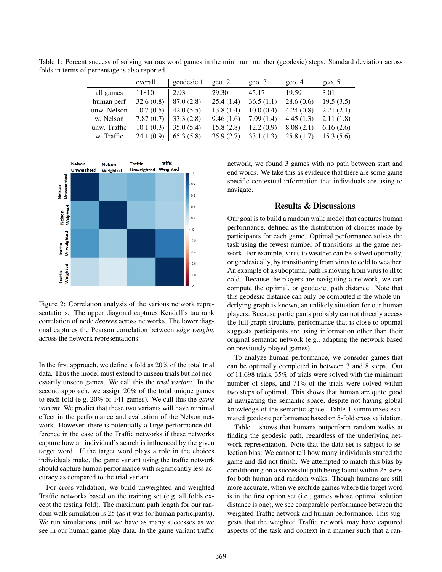|              | overall   | geodesic 1 | geo. $2$  | geo.3     | geo. $4$  | geo. $5$  |
|--------------|-----------|------------|-----------|-----------|-----------|-----------|
| all games    | 11810     | 2.93       | 29.30     | 45.17     | 19.59     | 3.01      |
| human perf   | 32.6(0.8) | 87.0(2.8)  | 25.4(1.4) | 36.5(1.1) | 28.6(0.6) | 19.5(3.5) |
| unw. Nelson  | 10.7(0.5) | 42.0(5.5)  | 13.8(1.4) | 10.0(0.4) | 4.24(0.8) | 2.21(2.1) |
| w. Nelson    | 7.87(0.7) | 33.3(2.8)  | 9.46(1.6) | 7.09(1.4) | 4.45(1.3) | 2.11(1.8) |
| unw. Traffic | 10.1(0.3) | 35.0(5.4)  | 15.8(2.8) | 12.2(0.9) | 8.08(2.1) | 6.16(2.6) |
| w. Traffic   | 24.1(0.9) | 65.3(5.8)  | 25.9(2.7) | 33.1(1.3) | 25.8(1.7) | 15.3(5.6) |

Table 1: Percent success of solving various word games in the minimum number (geodesic) steps. Standard deviation across folds in terms of percentage is also reported.



Figure 2: Correlation analysis of the various network representations. The upper diagonal captures Kendall's tau rank correlation of node *degrees* across networks. The lower diagonal captures the Pearson correlation between *edge weights* across the network representations.

In the first approach, we define a fold as 20% of the total trial data. Thus the model must extend to unseen trials but not necessarily unseen games. We call this the *trial variant*. In the second approach, we assign 20% of the total unique games to each fold (e.g. 20% of 141 games). We call this the *game variant*. We predict that these two variants will have minimal effect in the performance and evaluation of the Nelson network. However, there is potentially a large performance difference in the case of the Traffic networks if these networks capture how an individual's search is influenced by the given target word. If the target word plays a role in the choices individuals make, the game variant using the traffic network should capture human performance with significantly less accuracy as compared to the trial variant.

For cross-validation, we build unweighted and weighted Traffic networks based on the training set (e.g. all folds except the testing fold). The maximum path length for our random walk simulation is 25 (as it was for human participants). We run simulations until we have as many successes as we see in our human game play data. In the game variant traffic network, we found 3 games with no path between start and end words. We take this as evidence that there are some game specific contextual information that individuals are using to navigate.

# Results & Discussions

Our goal is to build a random walk model that captures human performance, defined as the distribution of choices made by participants for each game. Optimal performance solves the task using the fewest number of transitions in the game network. For example, virus to weather can be solved optimally, or geodesically, by transitioning from virus to cold to weather. An example of a suboptimal path is moving from virus to ill to cold. Because the players are navigating a network, we can compute the optimal, or geodesic, path distance. Note that this geodesic distance can only be computed if the whole underlying graph is known, an unlikely situation for our human players. Because participants probably cannot directly access the full graph structure, performance that is close to optimal suggests participants are using information other than their original semantic network (e.g., adapting the network based on previously played games).

To analyze human performance, we consider games that can be optimally completed in between 3 and 8 steps. Out of 11,698 trials, 35% of trials were solved with the minimum number of steps, and 71% of the trials were solved within two steps of optimal. This shows that human are quite good at navigating the semantic space, despite not having global knowledge of the semantic space. Table 1 summarizes estimated geodesic performance based on 5-fold cross validation.

Table 1 shows that humans outperform random walks at finding the geodesic path, regardless of the underlying network representation. Note that the data set is subject to selection bias: We cannot tell how many individuals started the game and did not finish. We attempted to match this bias by conditioning on a successful path being found within 25 steps for both human and random walks. Though humans are still more accurate, when we exclude games where the target word is in the first option set (i.e., games whose optimal solution distance is one), we see comparable performance between the weighted Traffic network and human performance. This suggests that the weighted Traffic network may have captured aspects of the task and context in a manner such that a ran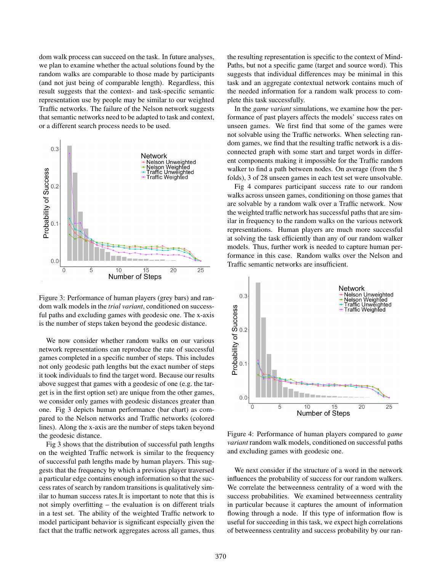dom walk process can succeed on the task. In future analyses, we plan to examine whether the actual solutions found by the random walks are comparable to those made by participants (and not just being of comparable length). Regardless, this result suggests that the context- and task-specific semantic representation use by people may be similar to our weighted Traffic networks. The failure of the Nelson network suggests that semantic networks need to be adapted to task and context, or a different search process needs to be used.



Figure 3: Performance of human players (grey bars) and random walk models in the *trial variant*, conditioned on successful paths and excluding games with geodesic one. The x-axis is the number of steps taken beyond the geodesic distance.

We now consider whether random walks on our various network representations can reproduce the rate of successful games completed in a specific number of steps. This includes not only geodesic path lengths but the exact number of steps it took individuals to find the target word. Because our results above suggest that games with a geodesic of one (e.g. the target is in the first option set) are unique from the other games, we consider only games with geodesic distances greater than one. Fig 3 depicts human performance (bar chart) as compared to the Nelson networks and Traffic networks (colored lines). Along the x-axis are the number of steps taken beyond the geodesic distance.

Fig 3 shows that the distribution of successful path lengths on the weighted Traffic network is similar to the frequency of successful path lengths made by human players. This suggests that the frequency by which a previous player traversed a particular edge contains enough information so that the success rates of search by random transitions is qualitatively similar to human success rates.It is important to note that this is not simply overfitting – the evaluation is on different trials in a test set. The ability of the weighted Traffic network to model participant behavior is significant especially given the fact that the traffic network aggregates across all games, thus the resulting representation is specific to the context of Mind-Paths, but not a specific game (target and source word). This suggests that individual differences may be minimal in this task and an aggregate contextual network contains much of the needed information for a random walk process to complete this task successfully.

In the *game variant* simulations, we examine how the performance of past players affects the models' success rates on unseen games. We first find that some of the games were not solvable using the Traffic networks. When selecting random games, we find that the resulting traffic network is a disconnected graph with some start and target words in different components making it impossible for the Traffic random walker to find a path between nodes. On average (from the 5 folds), 3 of 28 unseen games in each test set were unsolvable.

Fig 4 compares participant success rate to our random walks across unseen games, conditioning on those games that are solvable by a random walk over a Traffic network. Now the weighted traffic network has successful paths that are similar in frequency to the random walks on the various network representations. Human players are much more successful at solving the task efficiently than any of our random walker models. Thus, further work is needed to capture human performance in this case. Random walks over the Nelson and Traffic semantic networks are insufficient.



Figure 4: Performance of human players compared to *game variant* random walk models, conditioned on successful paths and excluding games with geodesic one.

We next consider if the structure of a word in the network influences the probability of success for our random walkers. We correlate the betweenness centrality of a word with the success probabilities. We examined betweenness centrality in particular because it captures the amount of information flowing through a node. If this type of information flow is useful for succeeding in this task, we expect high correlations of betweenness centrality and success probability by our ran-